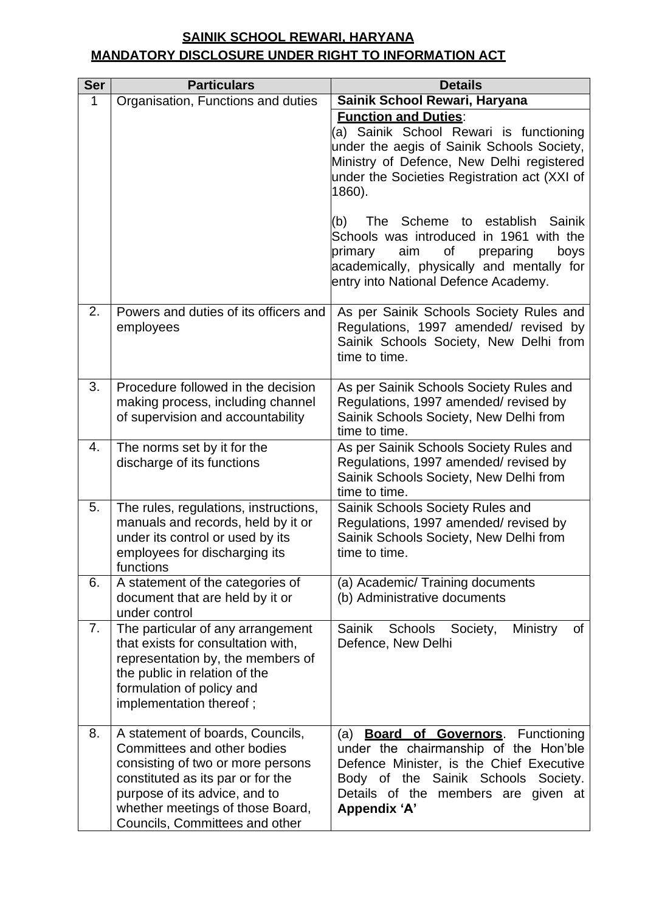## **SAINIK SCHOOL REWARI, HARYANA MANDATORY DISCLOSURE UNDER RIGHT TO INFORMATION ACT**

| <b>Ser</b>  | <b>Particulars</b>                                                                                                                                                                                                                               | <b>Details</b>                                                                                                                                                                                                                                                       |
|-------------|--------------------------------------------------------------------------------------------------------------------------------------------------------------------------------------------------------------------------------------------------|----------------------------------------------------------------------------------------------------------------------------------------------------------------------------------------------------------------------------------------------------------------------|
| $\mathbf 1$ | Organisation, Functions and duties                                                                                                                                                                                                               | Sainik School Rewari, Haryana                                                                                                                                                                                                                                        |
|             |                                                                                                                                                                                                                                                  | <b>Function and Duties:</b><br>(a) Sainik School Rewari is functioning<br>under the aegis of Sainik Schools Society,<br>Ministry of Defence, New Delhi registered<br>under the Societies Registration act (XXI of<br>1860).<br>The Scheme to establish Sainik<br>(b) |
|             |                                                                                                                                                                                                                                                  | Schools was introduced in 1961 with the<br>of<br>primary<br>aim<br>preparing<br>boys<br>academically, physically and mentally for<br>entry into National Defence Academy.                                                                                            |
| 2.          | Powers and duties of its officers and<br>employees                                                                                                                                                                                               | As per Sainik Schools Society Rules and<br>Regulations, 1997 amended/ revised by<br>Sainik Schools Society, New Delhi from<br>time to time.                                                                                                                          |
| 3.          | Procedure followed in the decision<br>making process, including channel<br>of supervision and accountability                                                                                                                                     | As per Sainik Schools Society Rules and<br>Regulations, 1997 amended/revised by<br>Sainik Schools Society, New Delhi from<br>time to time.                                                                                                                           |
| 4.          | The norms set by it for the<br>discharge of its functions                                                                                                                                                                                        | As per Sainik Schools Society Rules and<br>Regulations, 1997 amended/revised by<br>Sainik Schools Society, New Delhi from<br>time to time.                                                                                                                           |
| 5.          | The rules, regulations, instructions,<br>manuals and records, held by it or<br>under its control or used by its<br>employees for discharging its<br>functions                                                                                    | Sainik Schools Society Rules and<br>Regulations, 1997 amended/revised by<br>Sainik Schools Society, New Delhi from<br>time to time.                                                                                                                                  |
| 6.          | A statement of the categories of<br>document that are held by it or<br>under control                                                                                                                                                             | (a) Academic/ Training documents<br>(b) Administrative documents                                                                                                                                                                                                     |
| 7.          | The particular of any arrangement<br>that exists for consultation with,<br>representation by, the members of<br>the public in relation of the<br>formulation of policy and<br>implementation thereof;                                            | Sainik<br>Schools<br>Ministry<br>Society,<br>0f<br>Defence, New Delhi                                                                                                                                                                                                |
| 8.          | A statement of boards, Councils,<br>Committees and other bodies<br>consisting of two or more persons<br>constituted as its par or for the<br>purpose of its advice, and to<br>whether meetings of those Board,<br>Councils, Committees and other | <b>Board of Governors.</b> Functioning<br>(a)<br>under the chairmanship of the Hon'ble<br>Defence Minister, is the Chief Executive<br>Body of the Sainik Schools Society.<br>Details of the members are given at<br>Appendix 'A'                                     |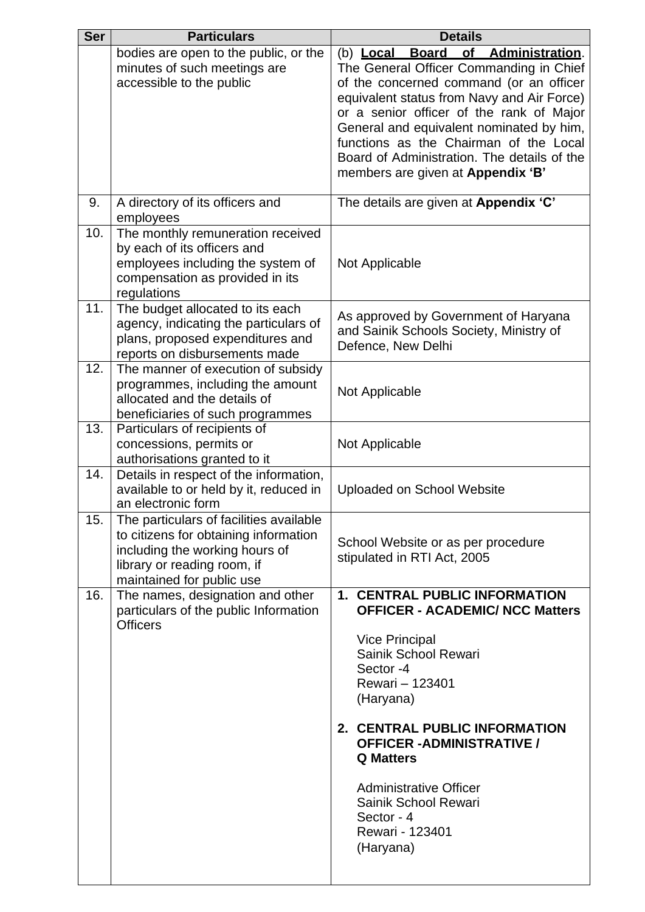| <b>Ser</b> | <b>Particulars</b>                                                                                                                                                             | <b>Details</b>                                                                                                                                                                                                                                                                                                                                                               |
|------------|--------------------------------------------------------------------------------------------------------------------------------------------------------------------------------|------------------------------------------------------------------------------------------------------------------------------------------------------------------------------------------------------------------------------------------------------------------------------------------------------------------------------------------------------------------------------|
|            | bodies are open to the public, or the                                                                                                                                          | (b) Local Board of Administration.                                                                                                                                                                                                                                                                                                                                           |
|            | minutes of such meetings are<br>accessible to the public                                                                                                                       | The General Officer Commanding in Chief<br>of the concerned command (or an officer<br>equivalent status from Navy and Air Force)<br>or a senior officer of the rank of Major<br>General and equivalent nominated by him,<br>functions as the Chairman of the Local<br>Board of Administration. The details of the<br>members are given at Appendix 'B'                       |
| 9.         | A directory of its officers and<br>employees                                                                                                                                   | The details are given at Appendix 'C'                                                                                                                                                                                                                                                                                                                                        |
| 10.        | The monthly remuneration received<br>by each of its officers and<br>employees including the system of<br>compensation as provided in its<br>regulations                        | Not Applicable                                                                                                                                                                                                                                                                                                                                                               |
| 11.        | The budget allocated to its each<br>agency, indicating the particulars of<br>plans, proposed expenditures and<br>reports on disbursements made                                 | As approved by Government of Haryana<br>and Sainik Schools Society, Ministry of<br>Defence, New Delhi                                                                                                                                                                                                                                                                        |
| 12.        | The manner of execution of subsidy<br>programmes, including the amount<br>allocated and the details of<br>beneficiaries of such programmes                                     | Not Applicable                                                                                                                                                                                                                                                                                                                                                               |
| 13.        | Particulars of recipients of<br>concessions, permits or<br>authorisations granted to it                                                                                        | Not Applicable                                                                                                                                                                                                                                                                                                                                                               |
| 14.        | Details in respect of the information,<br>available to or held by it, reduced in<br>an electronic form                                                                         | <b>Uploaded on School Website</b>                                                                                                                                                                                                                                                                                                                                            |
| 15.        | The particulars of facilities available<br>to citizens for obtaining information<br>including the working hours of<br>library or reading room, if<br>maintained for public use | School Website or as per procedure<br>stipulated in RTI Act, 2005                                                                                                                                                                                                                                                                                                            |
| 16.        | The names, designation and other<br>particulars of the public Information<br><b>Officers</b>                                                                                   | <b>1. CENTRAL PUBLIC INFORMATION</b><br><b>OFFICER - ACADEMIC/ NCC Matters</b><br><b>Vice Principal</b><br>Sainik School Rewari<br>Sector -4<br>Rewari - 123401<br>(Haryana)<br>2. CENTRAL PUBLIC INFORMATION<br><b>OFFICER -ADMINISTRATIVE /</b><br><b>Q</b> Matters<br><b>Administrative Officer</b><br>Sainik School Rewari<br>Sector - 4<br>Rewari - 123401<br>(Haryana) |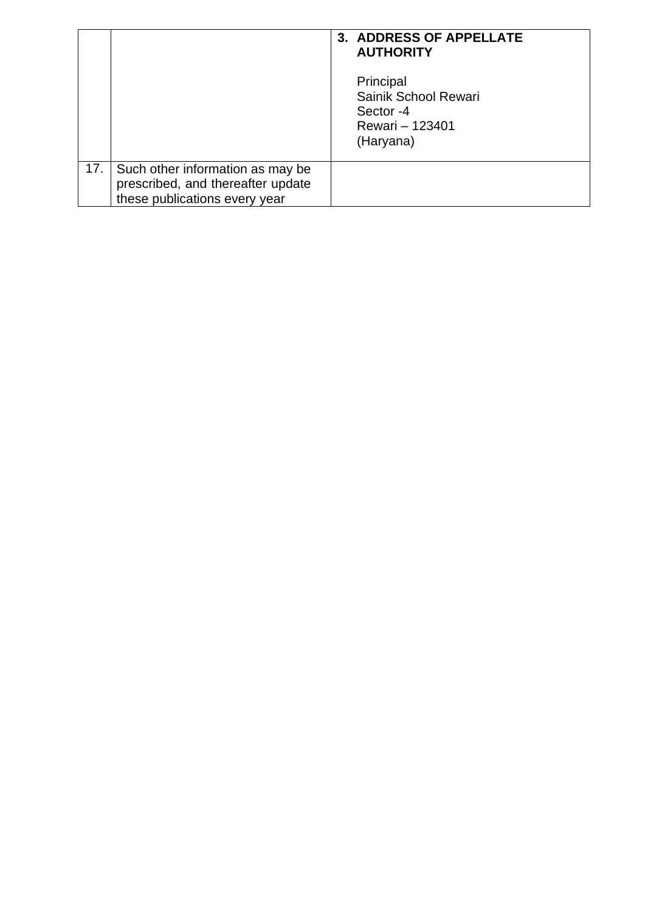|     |                                                                                                        | 3. ADDRESS OF APPELLATE<br><b>AUTHORITY</b>                                    |
|-----|--------------------------------------------------------------------------------------------------------|--------------------------------------------------------------------------------|
|     |                                                                                                        | Principal<br>Sainik School Rewari<br>Sector -4<br>Rewari - 123401<br>(Haryana) |
| 17. | Such other information as may be<br>prescribed, and thereafter update<br>these publications every year |                                                                                |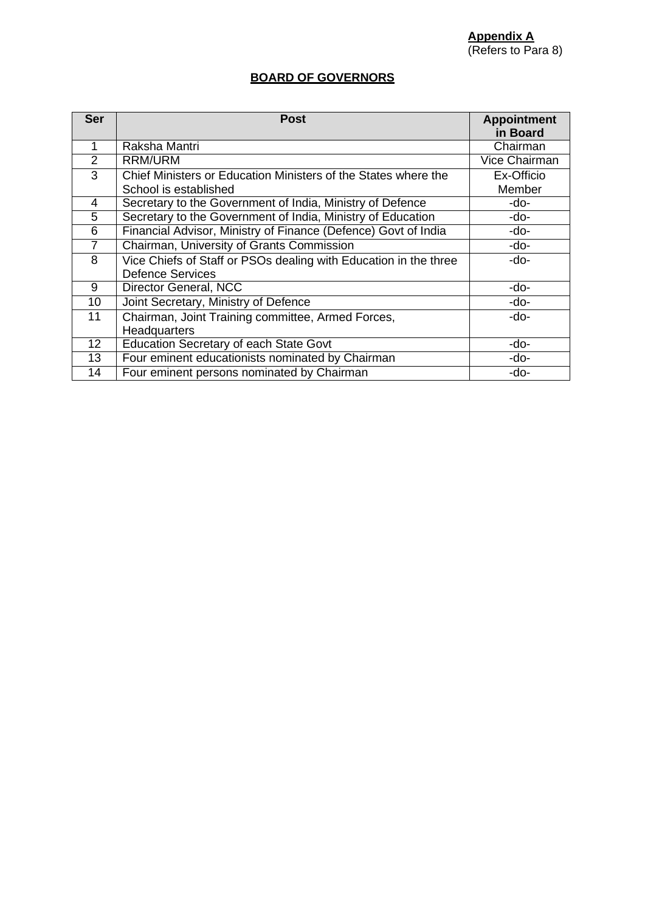#### **BOARD OF GOVERNORS**

| <b>Ser</b>      | <b>Post</b>                                                      | <b>Appointment</b><br>in Board |
|-----------------|------------------------------------------------------------------|--------------------------------|
|                 | Raksha Mantri                                                    | Chairman                       |
| $\overline{2}$  | RRM/URM                                                          | Vice Chairman                  |
| 3               | Chief Ministers or Education Ministers of the States where the   | Ex-Officio                     |
|                 | School is established                                            | Member                         |
| 4               | Secretary to the Government of India, Ministry of Defence        | -do-                           |
| 5               | Secretary to the Government of India, Ministry of Education      | -do-                           |
| 6               | Financial Advisor, Ministry of Finance (Defence) Govt of India   | -do-                           |
| $\overline{7}$  | Chairman, University of Grants Commission                        | -do-                           |
| 8               | Vice Chiefs of Staff or PSOs dealing with Education in the three | -do-                           |
|                 | <b>Defence Services</b>                                          |                                |
| 9               | Director General, NCC                                            | -do-                           |
| 10              | Joint Secretary, Ministry of Defence                             | -do-                           |
| 11              | Chairman, Joint Training committee, Armed Forces,                | -do-                           |
|                 | Headquarters                                                     |                                |
| 12 <sup>2</sup> | <b>Education Secretary of each State Govt</b>                    | -do-                           |
| 13              | Four eminent educationists nominated by Chairman                 | -do-                           |
| 14              | Four eminent persons nominated by Chairman                       | -do-                           |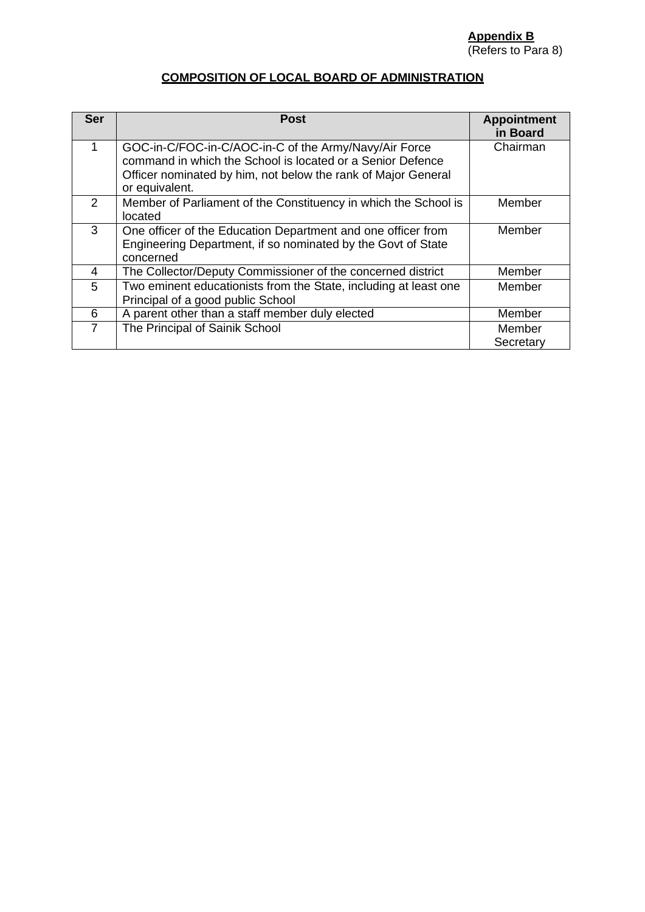#### **COMPOSITION OF LOCAL BOARD OF ADMINISTRATION**

| <b>Ser</b> | <b>Post</b>                                                                                                                                                                                            | <b>Appointment</b><br>in Board |
|------------|--------------------------------------------------------------------------------------------------------------------------------------------------------------------------------------------------------|--------------------------------|
|            | GOC-in-C/FOC-in-C/AOC-in-C of the Army/Navy/Air Force<br>command in which the School is located or a Senior Defence<br>Officer nominated by him, not below the rank of Major General<br>or equivalent. | Chairman                       |
| 2          | Member of Parliament of the Constituency in which the School is<br>located                                                                                                                             | Member                         |
| 3          | One officer of the Education Department and one officer from<br>Engineering Department, if so nominated by the Govt of State<br>concerned                                                              | Member                         |
| 4          | The Collector/Deputy Commissioner of the concerned district                                                                                                                                            | Member                         |
| 5          | Two eminent educationists from the State, including at least one<br>Principal of a good public School                                                                                                  | Member                         |
| 6          | A parent other than a staff member duly elected                                                                                                                                                        | Member                         |
| 7          | The Principal of Sainik School                                                                                                                                                                         | Member<br>Secretary            |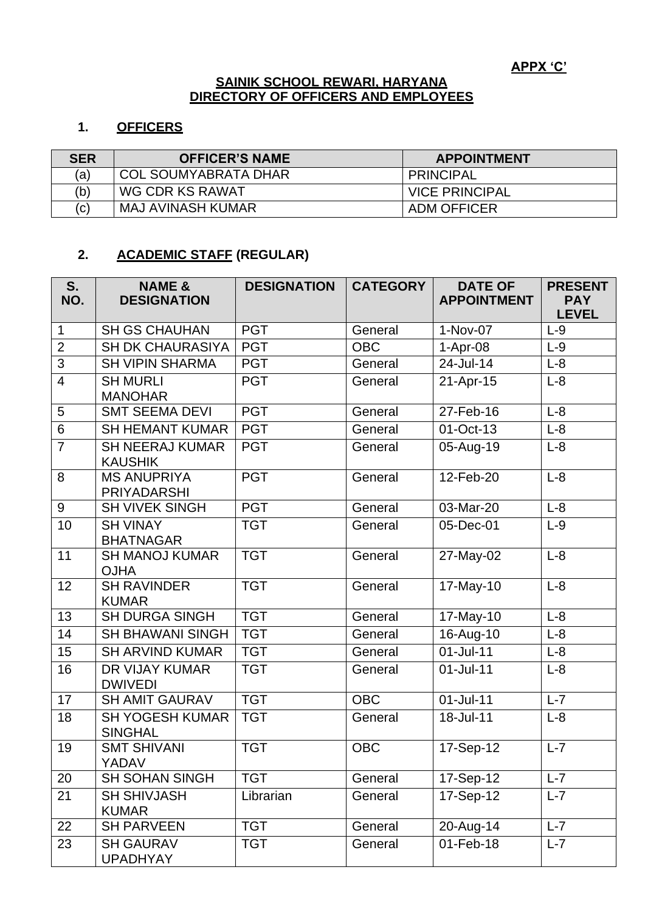#### **SAINIK SCHOOL REWARI, HARYANA DIRECTORY OF OFFICERS AND EMPLOYEES**

#### **1. OFFICERS**

| <b>SER</b> | <b>OFFICER'S NAME</b>       | <b>APPOINTMENT</b>    |
|------------|-----------------------------|-----------------------|
| (a)        | <b>COL SOUMYABRATA DHAR</b> | <b>PRINCIPAL</b>      |
| (b)        | WG CDR KS RAWAT             | <b>VICE PRINCIPAL</b> |
| (c)        | <b>MAJ AVINASH KUMAR</b>    | <b>ADM OFFICER</b>    |

## **2. ACADEMIC STAFF (REGULAR)**

| S.<br>NO.      | <b>NAME &amp;</b><br><b>DESIGNATION</b>  | <b>DESIGNATION</b> | <b>CATEGORY</b> | <b>DATE OF</b><br><b>APPOINTMENT</b> | <b>PRESENT</b><br><b>PAY</b><br><b>LEVEL</b> |
|----------------|------------------------------------------|--------------------|-----------------|--------------------------------------|----------------------------------------------|
| $\mathbf 1$    | <b>SH GS CHAUHAN</b>                     | <b>PGT</b>         | General         | 1-Nov-07                             | $L-9$                                        |
| $\overline{2}$ | <b>SH DK CHAURASIYA</b>                  | <b>PGT</b>         | <b>OBC</b>      | $1-Apr-08$                           | $L-9$                                        |
| 3              | <b>SH VIPIN SHARMA</b>                   | <b>PGT</b>         | General         | 24-Jul-14                            | $L-8$                                        |
| $\overline{4}$ | <b>SH MURLI</b><br><b>MANOHAR</b>        | <b>PGT</b>         | General         | 21-Apr-15                            | $L-8$                                        |
| 5              | <b>SMT SEEMA DEVI</b>                    | <b>PGT</b>         | General         | 27-Feb-16                            | $L-8$                                        |
| 6              | <b>SH HEMANT KUMAR</b>                   | <b>PGT</b>         | General         | 01-Oct-13                            | $L-8$                                        |
| $\overline{7}$ | <b>SH NEERAJ KUMAR</b><br><b>KAUSHIK</b> | <b>PGT</b>         | General         | 05-Aug-19                            | $L-8$                                        |
| 8              | <b>MS ANUPRIYA</b><br><b>PRIYADARSHI</b> | <b>PGT</b>         | General         | 12-Feb-20                            | $L-8$                                        |
| 9              | <b>SH VIVEK SINGH</b>                    | <b>PGT</b>         | General         | 03-Mar-20                            | $L-8$                                        |
| 10             | <b>SH VINAY</b><br><b>BHATNAGAR</b>      | <b>TGT</b>         | General         | 05-Dec-01                            | $L-9$                                        |
| 11             | <b>SH MANOJ KUMAR</b><br><b>OJHA</b>     | <b>TGT</b>         | General         | 27-May-02                            | $L-8$                                        |
| 12             | <b>SH RAVINDER</b><br><b>KUMAR</b>       | <b>TGT</b>         | General         | 17-May-10                            | $L-8$                                        |
| 13             | <b>SH DURGA SINGH</b>                    | <b>TGT</b>         | General         | 17-May-10                            | $L-8$                                        |
| 14             | <b>SH BHAWANI SINGH</b>                  | <b>TGT</b>         | General         | 16-Aug-10                            | $L-8$                                        |
| 15             | <b>SH ARVIND KUMAR</b>                   | <b>TGT</b>         | General         | 01-Jul-11                            | $L-8$                                        |
| 16             | DR VIJAY KUMAR<br><b>DWIVEDI</b>         | <b>TGT</b>         | General         | $01$ -Jul-11                         | $L-8$                                        |
| 17             | <b>SH AMIT GAURAV</b>                    | <b>TGT</b>         | <b>OBC</b>      | $01$ -Jul-11                         | $L-7$                                        |
| 18             | <b>SH YOGESH KUMAR</b><br><b>SINGHAL</b> | <b>TGT</b>         | General         | 18-Jul-11                            | $L-8$                                        |
| 19             | <b>SMT SHIVANI</b><br>YADAV              | <b>TGT</b>         | <b>OBC</b>      | 17-Sep-12                            | $L-7$                                        |
| 20             | <b>SH SOHAN SINGH</b>                    | <b>TGT</b>         | General         | 17-Sep-12                            | $L - 7$                                      |
| 21             | <b>SH SHIVJASH</b><br><b>KUMAR</b>       | Librarian          | General         | 17-Sep-12                            | $L - 7$                                      |
| 22             | <b>SH PARVEEN</b>                        | <b>TGT</b>         | General         | 20-Aug-14                            | $L - 7$                                      |
| 23             | <b>SH GAURAV</b><br><b>UPADHYAY</b>      | <b>TGT</b>         | General         | 01-Feb-18                            | $L - 7$                                      |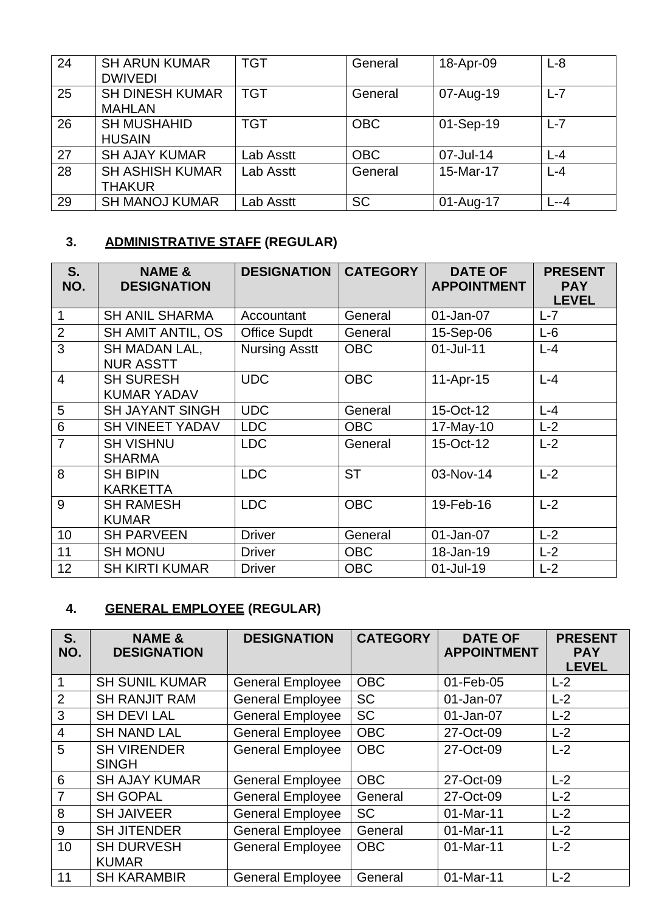| 24 | <b>SH ARUN KUMAR</b><br><b>DWIVEDI</b>  | <b>TGT</b> | General    | 18-Apr-09 | $L-8$   |
|----|-----------------------------------------|------------|------------|-----------|---------|
| 25 | <b>SH DINESH KUMAR</b><br><b>MAHLAN</b> | <b>TGT</b> | General    | 07-Aug-19 | $L-7$   |
| 26 | <b>SH MUSHAHID</b><br><b>HUSAIN</b>     | <b>TGT</b> | <b>OBC</b> | 01-Sep-19 | $L - 7$ |
| 27 | <b>SH AJAY KUMAR</b>                    | Lab Asstt  | <b>OBC</b> | 07-Jul-14 | $L - 4$ |
| 28 | <b>SH ASHISH KUMAR</b><br><b>THAKUR</b> | Lab Asstt  | General    | 15-Mar-17 | $L - 4$ |
| 29 | <b>SH MANOJ KUMAR</b>                   | _ab Asstt  | <b>SC</b>  | 01-Aug-17 | $L - 4$ |

# **3. ADMINISTRATIVE STAFF (REGULAR)**

| S.<br>NO.      | <b>NAME &amp;</b><br><b>DESIGNATION</b> | <b>DESIGNATION</b>   | <b>CATEGORY</b> | <b>DATE OF</b><br><b>APPOINTMENT</b> | <b>PRESENT</b><br><b>PAY</b><br><b>LEVEL</b> |
|----------------|-----------------------------------------|----------------------|-----------------|--------------------------------------|----------------------------------------------|
| $\mathbf 1$    | <b>SH ANIL SHARMA</b>                   | Accountant           | General         | 01-Jan-07                            | $L - 7$                                      |
| $\overline{2}$ | <b>SH AMIT ANTIL, OS</b>                | <b>Office Supdt</b>  | General         | 15-Sep-06                            | $L-6$                                        |
| 3              | SH MADAN LAL,<br><b>NUR ASSTT</b>       | <b>Nursing Asstt</b> | <b>OBC</b>      | $01$ -Jul-11                         | $L - 4$                                      |
| $\overline{4}$ | <b>SH SURESH</b><br><b>KUMAR YADAV</b>  | <b>UDC</b>           | <b>OBC</b>      | 11-Apr-15                            | $L - 4$                                      |
| 5              | <b>SH JAYANT SINGH</b>                  | <b>UDC</b>           | General         | 15-Oct-12                            | $L - 4$                                      |
| 6              | <b>SH VINEET YADAV</b>                  | <b>LDC</b>           | <b>OBC</b>      | 17-May-10                            | $L-2$                                        |
| $\overline{7}$ | <b>SH VISHNU</b><br><b>SHARMA</b>       | <b>LDC</b>           | General         | 15-Oct-12                            | $L-2$                                        |
| 8              | <b>SH BIPIN</b><br><b>KARKETTA</b>      | <b>LDC</b>           | <b>ST</b>       | 03-Nov-14                            | $L-2$                                        |
| 9              | <b>SH RAMESH</b><br><b>KUMAR</b>        | <b>LDC</b>           | <b>OBC</b>      | 19-Feb-16                            | $L-2$                                        |
| 10             | <b>SH PARVEEN</b>                       | <b>Driver</b>        | General         | 01-Jan-07                            | $L-2$                                        |
| 11             | <b>SH MONU</b>                          | <b>Driver</b>        | <b>OBC</b>      | 18-Jan-19                            | $L-2$                                        |
| 12             | <b>SH KIRTI KUMAR</b>                   | <b>Driver</b>        | <b>OBC</b>      | 01-Jul-19                            | $L-2$                                        |

# **4. GENERAL EMPLOYEE (REGULAR)**

| S.<br>NO.      | <b>NAME &amp;</b><br><b>DESIGNATION</b> | <b>DESIGNATION</b>      | <b>CATEGORY</b> | <b>DATE OF</b><br><b>APPOINTMENT</b> | <b>PRESENT</b><br><b>PAY</b><br><b>LEVEL</b> |
|----------------|-----------------------------------------|-------------------------|-----------------|--------------------------------------|----------------------------------------------|
| 1              | <b>SH SUNIL KUMAR</b>                   | <b>General Employee</b> | <b>OBC</b>      | 01-Feb-05                            | $L-2$                                        |
| 2              | <b>SH RANJIT RAM</b>                    | <b>General Employee</b> | <b>SC</b>       | 01-Jan-07                            | $L-2$                                        |
| 3              | <b>SH DEVI LAL</b>                      | <b>General Employee</b> | <b>SC</b>       | 01-Jan-07                            | $L-2$                                        |
| $\overline{4}$ | <b>SH NAND LAL</b>                      | <b>General Employee</b> | <b>OBC</b>      | 27-Oct-09                            | $L-2$                                        |
| 5              | <b>SH VIRENDER</b><br><b>SINGH</b>      | <b>General Employee</b> | <b>OBC</b>      | 27-Oct-09                            | $L-2$                                        |
| 6              | <b>SH AJAY KUMAR</b>                    | <b>General Employee</b> | <b>OBC</b>      | 27-Oct-09                            | $L-2$                                        |
| $\overline{7}$ | <b>SH GOPAL</b>                         | <b>General Employee</b> | General         | 27-Oct-09                            | $L-2$                                        |
| 8              | <b>SH JAIVEER</b>                       | <b>General Employee</b> | <b>SC</b>       | 01-Mar-11                            | $L-2$                                        |
| 9              | <b>SH JITENDER</b>                      | <b>General Employee</b> | General         | 01-Mar-11                            | $L-2$                                        |
| 10             | <b>SH DURVESH</b><br><b>KUMAR</b>       | <b>General Employee</b> | <b>OBC</b>      | 01-Mar-11                            | $L-2$                                        |
| 11             | <b>SH KARAMBIR</b>                      | <b>General Employee</b> | General         | 01-Mar-11                            | $L-2$                                        |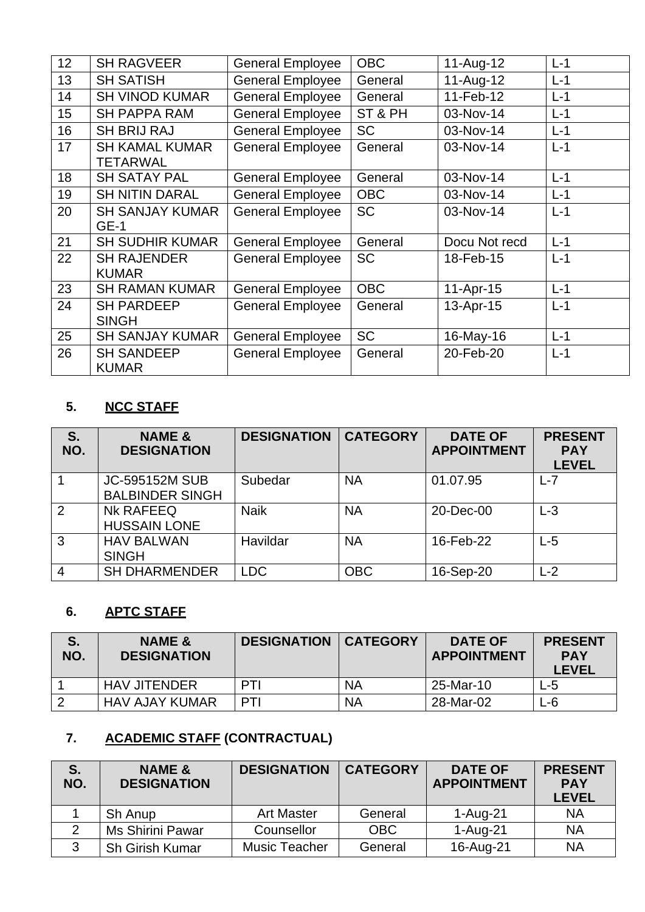| 12 | <b>SH RAGVEER</b>                        | <b>General Employee</b> | <b>OBC</b> | 11-Aug-12     | $L-1$ |
|----|------------------------------------------|-------------------------|------------|---------------|-------|
| 13 | <b>SH SATISH</b>                         | <b>General Employee</b> | General    | 11-Aug-12     | $L-1$ |
| 14 | <b>SH VINOD KUMAR</b>                    | <b>General Employee</b> | General    | 11-Feb-12     | $L-1$ |
| 15 | <b>SH PAPPA RAM</b>                      | <b>General Employee</b> | ST & PH    | 03-Nov-14     | $L-1$ |
| 16 | <b>SH BRIJ RAJ</b>                       | <b>General Employee</b> | <b>SC</b>  | 03-Nov-14     | $L-1$ |
| 17 | <b>SH KAMAL KUMAR</b><br><b>TETARWAL</b> | <b>General Employee</b> | General    | 03-Nov-14     | $L-1$ |
| 18 | <b>SH SATAY PAL</b>                      | <b>General Employee</b> | General    | 03-Nov-14     | $L-1$ |
| 19 | <b>SH NITIN DARAL</b>                    | <b>General Employee</b> | <b>OBC</b> | 03-Nov-14     | $L-1$ |
| 20 | <b>SH SANJAY KUMAR</b><br>$GE-1$         | <b>General Employee</b> | <b>SC</b>  | 03-Nov-14     | $L-1$ |
| 21 | <b>SH SUDHIR KUMAR</b>                   | <b>General Employee</b> | General    | Docu Not recd | $L-1$ |
| 22 | <b>SH RAJENDER</b><br><b>KUMAR</b>       | <b>General Employee</b> | <b>SC</b>  | 18-Feb-15     | $L-1$ |
| 23 | <b>SH RAMAN KUMAR</b>                    | <b>General Employee</b> | <b>OBC</b> | 11-Apr-15     | $L-1$ |
| 24 | <b>SH PARDEEP</b><br><b>SINGH</b>        | <b>General Employee</b> | General    | 13-Apr-15     | $L-1$ |
| 25 | <b>SH SANJAY KUMAR</b>                   | <b>General Employee</b> | <b>SC</b>  | 16-May-16     | $L-1$ |
| 26 | <b>SH SANDEEP</b><br><b>KUMAR</b>        | <b>General Employee</b> | General    | 20-Feb-20     | $L-1$ |

## **5. NCC STAFF**

| S.<br>NO.      | <b>NAME &amp;</b><br><b>DESIGNATION</b>         | <b>DESIGNATION</b> | <b>CATEGORY</b> | <b>DATE OF</b><br><b>APPOINTMENT</b> | <b>PRESENT</b><br><b>PAY</b><br><b>LEVEL</b> |
|----------------|-------------------------------------------------|--------------------|-----------------|--------------------------------------|----------------------------------------------|
|                | <b>JC-595152M SUB</b><br><b>BALBINDER SINGH</b> | Subedar            | <b>NA</b>       | 01.07.95                             | L-7                                          |
| 2              | <b>NK RAFEEQ</b><br><b>HUSSAIN LONE</b>         | <b>Naik</b>        | <b>NA</b>       | 20-Dec-00                            | $L-3$                                        |
| 3              | <b>HAV BALWAN</b><br><b>SINGH</b>               | Havildar           | <b>NA</b>       | 16-Feb-22                            | L-5                                          |
| $\overline{4}$ | <b>SH DHARMENDER</b>                            | <b>LDC</b>         | <b>OBC</b>      | 16-Sep-20                            | $-2$                                         |

### **6. APTC STAFF**

| S.<br>NO. | <b>NAME &amp;</b><br><b>DESIGNATION</b> | <b>DESIGNATION</b> | <b>CATEGORY</b> | <b>DATE OF</b><br><b>APPOINTMENT</b> | <b>PRESENT</b><br><b>PAY</b><br><b>LEVEL</b> |
|-----------|-----------------------------------------|--------------------|-----------------|--------------------------------------|----------------------------------------------|
|           | <b>HAV JITENDER</b>                     | PTI                | <b>NA</b>       | 25-Mar-10                            | ∟-5                                          |
|           | <b>HAV AJAY KUMAR</b>                   | PTI                | <b>NA</b>       | 28-Mar-02                            | -6                                           |

# **7. ACADEMIC STAFF (CONTRACTUAL)**

| S.<br>NO. | <b>NAME &amp;</b><br><b>DESIGNATION</b> | <b>DESIGNATION</b> | <b>CATEGORY</b> | <b>DATE OF</b><br><b>APPOINTMENT</b> | <b>PRESENT</b><br><b>PAY</b><br><b>LEVEL</b> |
|-----------|-----------------------------------------|--------------------|-----------------|--------------------------------------|----------------------------------------------|
|           | Sh Anup                                 | <b>Art Master</b>  | General         | $1-Auq-21$                           | <b>NA</b>                                    |
|           | <b>Ms Shirini Pawar</b>                 | Counsellor         | <b>OBC</b>      | 1-Aug-21                             | <b>NA</b>                                    |
|           | <b>Sh Girish Kumar</b>                  | Music Teacher      | General         | 16-Aug-21                            | <b>NA</b>                                    |